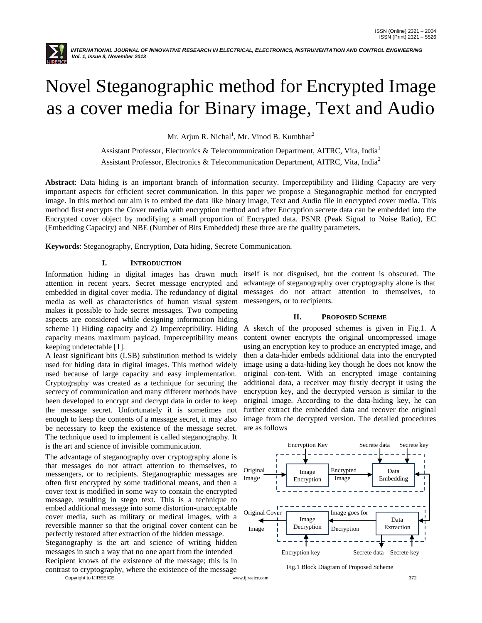

# Novel Steganographic method for Encrypted Image as a cover media for Binary image, Text and Audio

Mr. Arjun R. Nichal<sup>1</sup>, Mr. Vinod B. Kumbhar<sup>2</sup>

Assistant Professor, Electronics & Telecommunication Department, AITRC, Vita, India<sup>1</sup> Assistant Professor, Electronics & Telecommunication Department, AITRC, Vita, India<sup>2</sup>

**Abstract**: Data hiding is an important branch of information security. Imperceptibility and Hiding Capacity are very important aspects for efficient secret communication. In this paper we propose a Steganographic method for encrypted image. In this method our aim is to embed the data like binary image, Text and Audio file in encrypted cover media. This method first encrypts the Cover media with encryption method and after Encryption secrete data can be embedded into the Encrypted cover object by modifying a small proportion of Encrypted data. PSNR (Peak Signal to Noise Ratio), EC (Embedding Capacity) and NBE (Number of Bits Embedded) these three are the quality parameters.

**Keywords**: Steganography, Encryption, Data hiding, Secrete Communication.

## **I. INTRODUCTION**

attention in recent years. Secret message encrypted and embedded in digital cover media. The redundancy of digital media as well as characteristics of human visual system messengers, or to recipients. makes it possible to hide secret messages. Two competing aspects are considered while designing information hiding scheme 1) Hiding capacity and 2) Imperceptibility. Hiding A sketch of the proposed schemes is given in Fig.1. A capacity means maximum payload. Imperceptibility means keeping undetectable [1].

A least significant bits (LSB) substitution method is widely used for hiding data in digital images. This method widely used because of large capacity and easy implementation. Cryptography was created as a technique for securing the secrecy of communication and many different methods have been developed to encrypt and decrypt data in order to keep the message secret. Unfortunately it is sometimes not enough to keep the contents of a message secret, it may also be necessary to keep the existence of the message secret. The technique used to implement is called steganography. It is the art and science of invisible communication.

Copyright to IJIREEICE 372 The advantage of steganography over cryptography alone is that messages do not attract attention to themselves, to messengers, or to recipients. Steganographic messages are often first encrypted by some traditional means, and then a cover text is modified in some way to contain the encrypted message, resulting in stego text. This is a technique to embed additional message into some distortion-unacceptable cover media, such as military or medical images, with a reversible manner so that the original cover content can be perfectly restored after extraction of the hidden message. Steganography is the art and science of writing hidden messages in such a way that no one apart from the intended Recipient knows of the existence of the message; this is in contrast to cryptography, where the existence of the message

Information hiding in digital images has drawn much itself is not disguised, but the content is obscured. The advantage of steganography over cryptography alone is that messages do not attract attention to themselves, to

#### **II. PROPOSED SCHEME**

content owner encrypts the original uncompressed image using an encryption key to produce an encrypted image, and then a data-hider embeds additional data into the encrypted image using a data-hiding key though he does not know the original con-tent. With an encrypted image containing additional data, a receiver may firstly decrypt it using the encryption key, and the decrypted version is similar to the original image. According to the data-hiding key, he can further extract the embedded data and recover the original image from the decrypted version. The detailed procedures are as follows



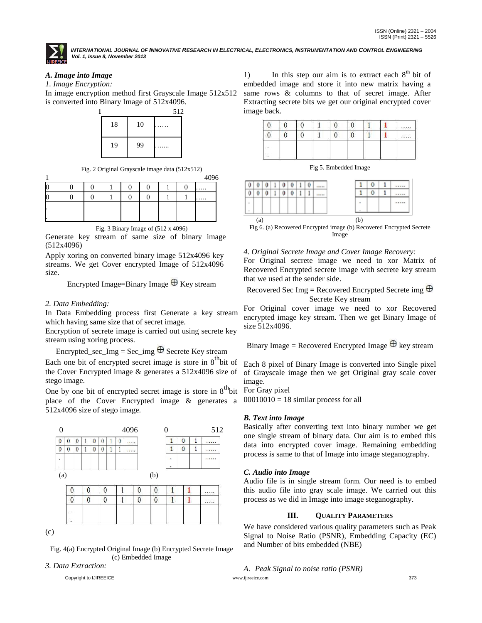

INTERNATIONAL JOURNAL OF INNOVATIVE RESEARCH IN ELECTRICAL, ELECTRONICS, INSTRUMENTATION AND CONTROL ENGINEERING *Vol. 1, Issue 8, November 2013*

# *A. Image into Image*

*1. Image Encryption:*

In image encryption method first Grayscale Image 512x512 is converted into Binary Image of 512x4096.



Fig. 2 Original Grayscale image data (512x512)

|  |  |  |  | 4096 |
|--|--|--|--|------|
|  |  |  |  | .    |
|  |  |  |  | .    |
|  |  |  |  |      |
|  |  |  |  |      |

Fig. 3 Binary Image of (512 x 4096)

Generate key stream of same size of binary image (512x4096)

Apply xoring on converted binary image 512x4096 key streams. We get Cover encrypted Image of 512x4096 size.

Encrypted Image=Binary Image  $\oplus$  Key stream

## *2. Data Embedding:*

stego image.

In Data Embedding process first Generate a key stream which having same size that of secret image.

Encryption of secrete image is carried out using secrete key stream using xoring process.

Encrypted\_sec\_Img = Sec\_img  $\oplus$  Secrete Key stream Each one bit of encrypted secret image is store in  $8^{\text{th}}$  bit of the Cover Encrypted image & generates a 512x4096 size of

One by one bit of encrypted secret image is store in  $8<sup>th</sup>$  bit place of the Cover Encrypted image & generates a 512x4096 size of stego image.



Fig. 4(a) Encrypted Original Image (b) Encrypted Secrete Image (c) Embedded Image

*3. Data Extraction:*

1) In this step our aim is to extract each  $8<sup>th</sup>$  bit of embedded image and store it into new matrix having a same rows & columns to that of secret image. After Extracting secrete bits we get our original encrypted cover image back.



Fig 5. Embedded Image

|                          |          | 0 |  |
|--------------------------|----------|---|--|
| 0<br>0<br>0<br>0<br>---- |          | 0 |  |
|                          | ٠        |   |  |
|                          | $\alpha$ |   |  |

Fig 6. (a) Recovered Encrypted image (b) Recovered Encrypted Secrete Image

#### *4. Original Secrete Image and Cover Image Recovery:*

For Original secrete image we need to xor Matrix of Recovered Encrypted secrete image with secrete key stream that we used at the sender side.

Recovered Sec Img = Recovered Encrypted Secrete img  $\oplus$ Secrete Key stream

For Original cover image we need to xor Recovered encrypted image key stream. Then we get Binary Image of size 512x4096.

Binary Image = Recoverypred Encyclopedia Image 
$$
\oplus
$$
 key stream

Each 8 pixel of Binary Image is converted into Single pixel of Grayscale image then we get Original gray scale cover image.

For Gray pixel

 $00010010 = 18$  similar process for all

#### *B. Text into Image*

Basically after converting text into binary number we get one single stream of binary data. Our aim is to embed this data into encrypted cover image. Remaining embedding process is same to that of Image into image steganography.

# *C. Audio into Image*

Audio file is in single stream form. Our need is to embed this audio file into gray scale image. We carried out this process as we did in Image into image steganography.

# **III. QUALITY PARAMETERS**

We have considered various quality parameters such as Peak Signal to Noise Ratio (PSNR), Embedding Capacity (EC) and Number of bits embedded (NBE)

#### *A. Peak Signal to noise ratio (PSNR)*

Copyright to IJIREEICE [www.ijireeice.com](http://www.ijireeice.com/) 373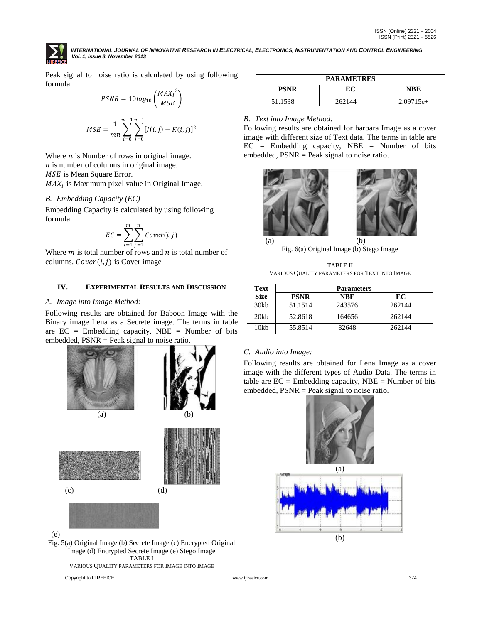

INTERNATIONAL JOURNAL OF INNOVATIVE RESEARCH IN ELECTRICAL, ELECTRONICS, INSTRUMENTATION AND CONTROL ENGINEERING *Vol. 1, Issue 8, November 2013*

Peak signal to noise ratio is calculated by using following formula

$$
PSNR = 10log_{10}\left(\frac{MAX_1^2}{MSE}\right)
$$

$$
MSE = \frac{1}{mn} \sum_{i=0}^{m-1} \sum_{j=0}^{n-1} [I(i,j) - K(i,j)]^2
$$

Where  $n$  is Number of rows in original image.  $n$  is number of columns in original image. MSE is Mean Square Error.  $MAX<sub>I</sub>$  is Maximum pixel value in Original Image.

## *B. Embedding Capacity (EC)*

Embedding Capacity is calculated by using following formula

$$
EC = \sum_{i=1}^{m} \sum_{j=1}^{n} Cover(i,j)
$$

Where  $m$  is total number of rows and  $n$  is total number of columns.  $Cover(i, j)$  is Cover image

## **IV. EXPERIMENTAL RESULTS AND DISCUSSION**

#### *A. Image into Image Method:*

Following results are obtained for Baboon Image with the Binary image Lena as a Secrete image. The terms in table are  $EC =$  Embedding capacity, NBE = Number of bits embedded, PSNR = Peak signal to noise ratio.



(e)

Fig. 5(a) Original Image (b) Secrete Image (c) Encrypted Original Image (d) Encrypted Secrete Image (e) Stego Image TABLE I

VARIOUS QUALITY PARAMETERS FOR IMAGE INTO IMAGE

Copyright to IJIREEICE [www.ijireeice.com](http://www.ijireeice.com/) 374

| <b>PARAMETRES</b> |        |             |  |  |  |
|-------------------|--------|-------------|--|--|--|
| <b>PSNR</b>       | EС     | NBE         |  |  |  |
| 51.1538           | 262144 | $2.09715e+$ |  |  |  |

## *B. Text into Image Method:*

Following results are obtained for barbara Image as a cover image with different size of Text data. The terms in table are EC = Embedding capacity, NBE = Number of bits embedded, PSNR = Peak signal to noise ratio.



Fig. 6(a) Original Image (b) Stego Image

TABLE II VARIOUS QUALITY PARAMETERS FOR TEXT INTO IMAGE

| Text        | <b>Parameters</b> |            |        |  |  |
|-------------|-------------------|------------|--------|--|--|
| <b>Size</b> | <b>PSNR</b>       | <b>NBE</b> | EC     |  |  |
| 30kb        | 51.1514           | 243576     | 262144 |  |  |
| 20kb        | 52.8618           | 164656     | 262144 |  |  |
| 10kb        | 55.8514           | 82648      | 262144 |  |  |

# *C. Audio into Image:*

Following results are obtained for Lena Image as a cover image with the different types of Audio Data. The terms in table are  $EC =$  Embedding capacity, NBE = Number of bits embedded, PSNR = Peak signal to noise ratio.